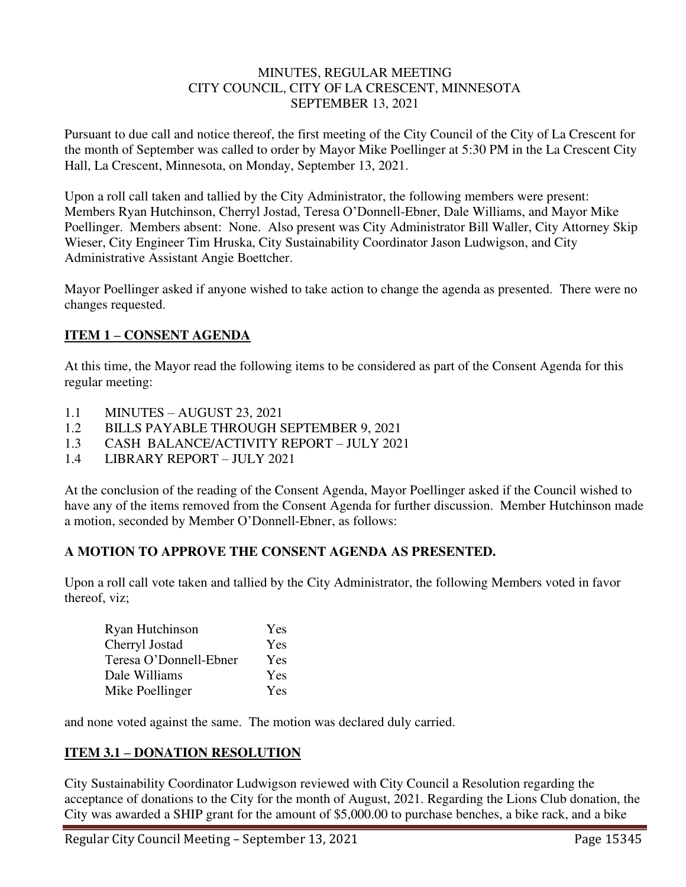#### MINUTES, REGULAR MEETING CITY COUNCIL, CITY OF LA CRESCENT, MINNESOTA SEPTEMBER 13, 2021

Pursuant to due call and notice thereof, the first meeting of the City Council of the City of La Crescent for the month of September was called to order by Mayor Mike Poellinger at 5:30 PM in the La Crescent City Hall, La Crescent, Minnesota, on Monday, September 13, 2021.

Upon a roll call taken and tallied by the City Administrator, the following members were present: Members Ryan Hutchinson, Cherryl Jostad, Teresa O'Donnell-Ebner, Dale Williams, and Mayor Mike Poellinger. Members absent: None. Also present was City Administrator Bill Waller, City Attorney Skip Wieser, City Engineer Tim Hruska, City Sustainability Coordinator Jason Ludwigson, and City Administrative Assistant Angie Boettcher.

Mayor Poellinger asked if anyone wished to take action to change the agenda as presented. There were no changes requested.

## **ITEM 1 – CONSENT AGENDA**

At this time, the Mayor read the following items to be considered as part of the Consent Agenda for this regular meeting:

- 1.1 MINUTES AUGUST 23, 2021
- 1.2 BILLS PAYABLE THROUGH SEPTEMBER 9, 2021
- 1.3 CASH BALANCE/ACTIVITY REPORT JULY 2021
- 1.4 LIBRARY REPORT JULY 2021

At the conclusion of the reading of the Consent Agenda, Mayor Poellinger asked if the Council wished to have any of the items removed from the Consent Agenda for further discussion. Member Hutchinson made a motion, seconded by Member O'Donnell-Ebner, as follows:

### **A MOTION TO APPROVE THE CONSENT AGENDA AS PRESENTED.**

Upon a roll call vote taken and tallied by the City Administrator, the following Members voted in favor thereof, viz;

| Ryan Hutchinson        | Yes |
|------------------------|-----|
| Cherryl Jostad         | Yes |
| Teresa O'Donnell-Ebner | Yes |
| Dale Williams          | Yes |
| Mike Poellinger        | Yes |

and none voted against the same. The motion was declared duly carried.

### **ITEM 3.1 – DONATION RESOLUTION**

City Sustainability Coordinator Ludwigson reviewed with City Council a Resolution regarding the acceptance of donations to the City for the month of August, 2021. Regarding the Lions Club donation, the City was awarded a SHIP grant for the amount of \$5,000.00 to purchase benches, a bike rack, and a bike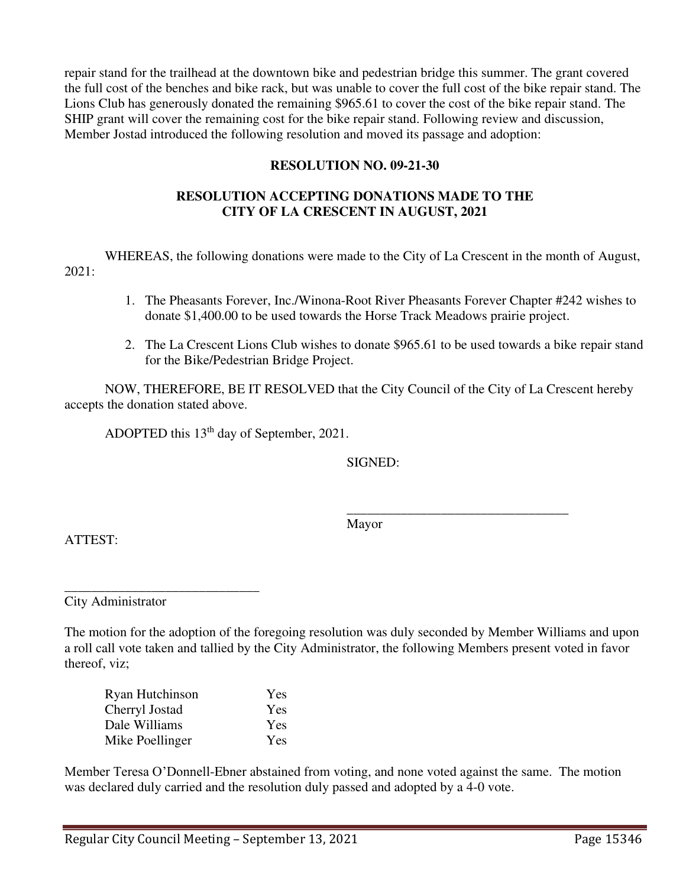repair stand for the trailhead at the downtown bike and pedestrian bridge this summer. The grant covered the full cost of the benches and bike rack, but was unable to cover the full cost of the bike repair stand. The Lions Club has generously donated the remaining \$965.61 to cover the cost of the bike repair stand. The SHIP grant will cover the remaining cost for the bike repair stand. Following review and discussion, Member Jostad introduced the following resolution and moved its passage and adoption:

#### **RESOLUTION NO. 09-21-30**

### **RESOLUTION ACCEPTING DONATIONS MADE TO THE CITY OF LA CRESCENT IN AUGUST, 2021**

 WHEREAS, the following donations were made to the City of La Crescent in the month of August, 2021:

- 1. The Pheasants Forever, Inc./Winona-Root River Pheasants Forever Chapter #242 wishes to donate \$1,400.00 to be used towards the Horse Track Meadows prairie project.
- 2. The La Crescent Lions Club wishes to donate \$965.61 to be used towards a bike repair stand for the Bike/Pedestrian Bridge Project.

NOW, THEREFORE, BE IT RESOLVED that the City Council of the City of La Crescent hereby accepts the donation stated above.

ADOPTED this 13th day of September, 2021.

SIGNED:

 $\overline{\phantom{a}}$  , and the contract of the contract of the contract of the contract of the contract of the contract of the contract of the contract of the contract of the contract of the contract of the contract of the contrac Mayor

ATTEST:

\_\_\_\_\_\_\_\_\_\_\_\_\_\_\_\_\_\_\_\_\_\_\_\_\_\_\_\_\_ City Administrator

The motion for the adoption of the foregoing resolution was duly seconded by Member Williams and upon a roll call vote taken and tallied by the City Administrator, the following Members present voted in favor thereof, viz;

| Ryan Hutchinson | Yes        |
|-----------------|------------|
| Cherryl Jostad  | Yes        |
| Dale Williams   | <b>Yes</b> |
| Mike Poellinger | Yes        |

Member Teresa O'Donnell-Ebner abstained from voting, and none voted against the same. The motion was declared duly carried and the resolution duly passed and adopted by a 4-0 vote.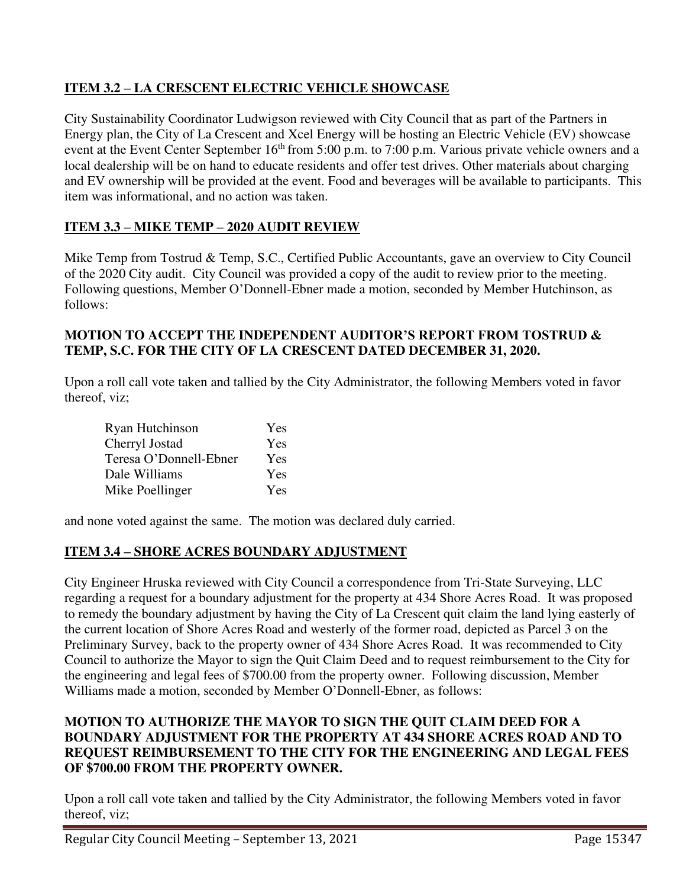# **ITEM 3.2 – LA CRESCENT ELECTRIC VEHICLE SHOWCASE**

City Sustainability Coordinator Ludwigson reviewed with City Council that as part of the Partners in Energy plan, the City of La Crescent and Xcel Energy will be hosting an Electric Vehicle (EV) showcase event at the Event Center September 16<sup>th</sup> from 5:00 p.m. to 7:00 p.m. Various private vehicle owners and a local dealership will be on hand to educate residents and offer test drives. Other materials about charging and EV ownership will be provided at the event. Food and beverages will be available to participants. This item was informational, and no action was taken.

# **ITEM 3.3 – MIKE TEMP – 2020 AUDIT REVIEW**

Mike Temp from Tostrud & Temp, S.C., Certified Public Accountants, gave an overview to City Council of the 2020 City audit. City Council was provided a copy of the audit to review prior to the meeting. Following questions, Member O'Donnell-Ebner made a motion, seconded by Member Hutchinson, as follows:

### **MOTION TO ACCEPT THE INDEPENDENT AUDITOR'S REPORT FROM TOSTRUD & TEMP, S.C. FOR THE CITY OF LA CRESCENT DATED DECEMBER 31, 2020.**

Upon a roll call vote taken and tallied by the City Administrator, the following Members voted in favor thereof, viz;

| Ryan Hutchinson        | Yes        |
|------------------------|------------|
| Cherryl Jostad         | Yes        |
| Teresa O'Donnell-Ebner | Yes        |
| Dale Williams          | Yes        |
| Mike Poellinger        | <b>Yes</b> |

and none voted against the same. The motion was declared duly carried.

## **ITEM 3.4 – SHORE ACRES BOUNDARY ADJUSTMENT**

City Engineer Hruska reviewed with City Council a correspondence from Tri-State Surveying, LLC regarding a request for a boundary adjustment for the property at 434 Shore Acres Road. It was proposed to remedy the boundary adjustment by having the City of La Crescent quit claim the land lying easterly of the current location of Shore Acres Road and westerly of the former road, depicted as Parcel 3 on the Preliminary Survey, back to the property owner of 434 Shore Acres Road. It was recommended to City Council to authorize the Mayor to sign the Quit Claim Deed and to request reimbursement to the City for the engineering and legal fees of \$700.00 from the property owner. Following discussion, Member Williams made a motion, seconded by Member O'Donnell-Ebner, as follows:

### **MOTION TO AUTHORIZE THE MAYOR TO SIGN THE QUIT CLAIM DEED FOR A BOUNDARY ADJUSTMENT FOR THE PROPERTY AT 434 SHORE ACRES ROAD AND TO REQUEST REIMBURSEMENT TO THE CITY FOR THE ENGINEERING AND LEGAL FEES OF \$700.00 FROM THE PROPERTY OWNER.**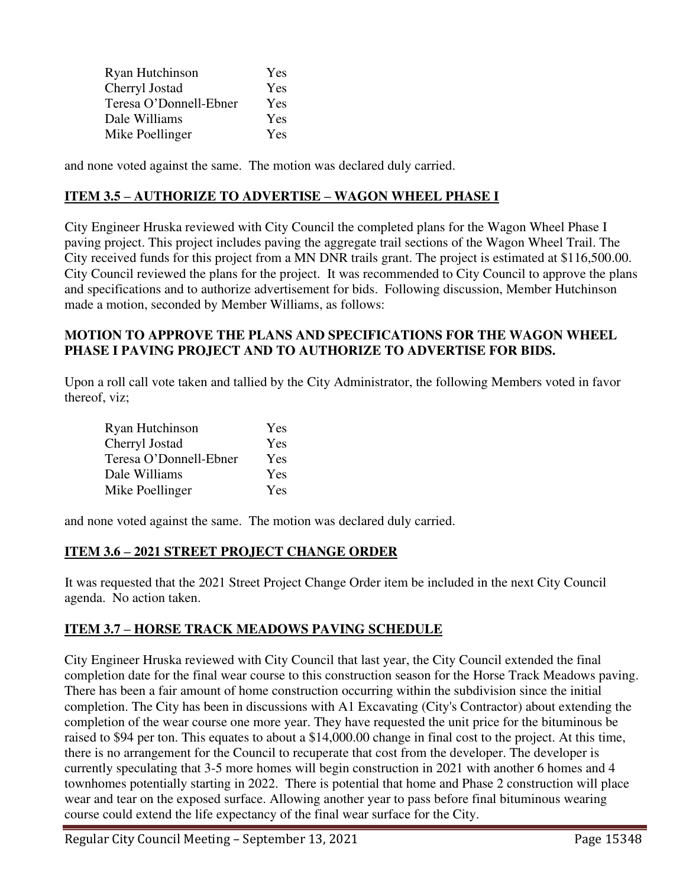| Ryan Hutchinson        | Yes        |
|------------------------|------------|
| Cherryl Jostad         | <b>Yes</b> |
| Teresa O'Donnell-Ebner | <b>Yes</b> |
| Dale Williams          | Yes        |
| Mike Poellinger        | Yes        |

and none voted against the same. The motion was declared duly carried.

### **ITEM 3.5 – AUTHORIZE TO ADVERTISE – WAGON WHEEL PHASE I**

City Engineer Hruska reviewed with City Council the completed plans for the Wagon Wheel Phase I paving project. This project includes paving the aggregate trail sections of the Wagon Wheel Trail. The City received funds for this project from a MN DNR trails grant. The project is estimated at \$116,500.00. City Council reviewed the plans for the project. It was recommended to City Council to approve the plans and specifications and to authorize advertisement for bids. Following discussion, Member Hutchinson made a motion, seconded by Member Williams, as follows:

#### **MOTION TO APPROVE THE PLANS AND SPECIFICATIONS FOR THE WAGON WHEEL PHASE I PAVING PROJECT AND TO AUTHORIZE TO ADVERTISE FOR BIDS.**

Upon a roll call vote taken and tallied by the City Administrator, the following Members voted in favor thereof, viz;

| Ryan Hutchinson        | Yes        |
|------------------------|------------|
| Cherryl Jostad         | <b>Yes</b> |
| Teresa O'Donnell-Ebner | <b>Yes</b> |
| Dale Williams          | Yes        |
| Mike Poellinger        | <b>Yes</b> |

and none voted against the same. The motion was declared duly carried.

### **ITEM 3.6 – 2021 STREET PROJECT CHANGE ORDER**

It was requested that the 2021 Street Project Change Order item be included in the next City Council agenda. No action taken.

### **ITEM 3.7 – HORSE TRACK MEADOWS PAVING SCHEDULE**

City Engineer Hruska reviewed with City Council that last year, the City Council extended the final completion date for the final wear course to this construction season for the Horse Track Meadows paving. There has been a fair amount of home construction occurring within the subdivision since the initial completion. The City has been in discussions with A1 Excavating (City's Contractor) about extending the completion of the wear course one more year. They have requested the unit price for the bituminous be raised to \$94 per ton. This equates to about a \$14,000.00 change in final cost to the project. At this time, there is no arrangement for the Council to recuperate that cost from the developer. The developer is currently speculating that 3-5 more homes will begin construction in 2021 with another 6 homes and 4 townhomes potentially starting in 2022. There is potential that home and Phase 2 construction will place wear and tear on the exposed surface. Allowing another year to pass before final bituminous wearing course could extend the life expectancy of the final wear surface for the City.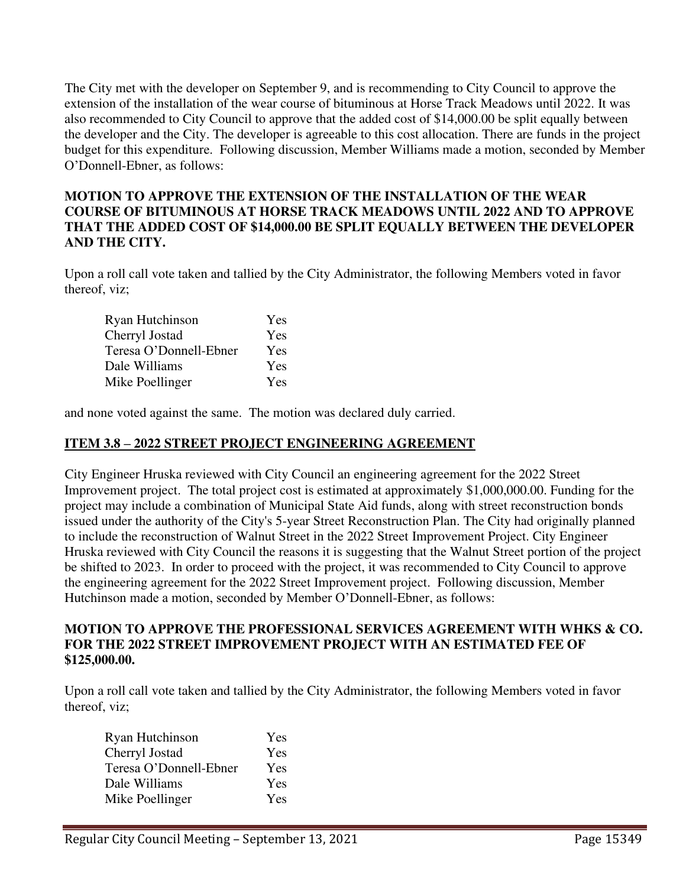The City met with the developer on September 9, and is recommending to City Council to approve the extension of the installation of the wear course of bituminous at Horse Track Meadows until 2022. It was also recommended to City Council to approve that the added cost of \$14,000.00 be split equally between the developer and the City. The developer is agreeable to this cost allocation. There are funds in the project budget for this expenditure. Following discussion, Member Williams made a motion, seconded by Member O'Donnell-Ebner, as follows:

### **MOTION TO APPROVE THE EXTENSION OF THE INSTALLATION OF THE WEAR COURSE OF BITUMINOUS AT HORSE TRACK MEADOWS UNTIL 2022 AND TO APPROVE THAT THE ADDED COST OF \$14,000.00 BE SPLIT EQUALLY BETWEEN THE DEVELOPER AND THE CITY.**

Upon a roll call vote taken and tallied by the City Administrator, the following Members voted in favor thereof, viz;

| Ryan Hutchinson        | Yes        |
|------------------------|------------|
| Cherryl Jostad         | Yes        |
| Teresa O'Donnell-Ebner | <b>Yes</b> |
| Dale Williams          | Yes        |
| Mike Poellinger        | Yes        |

and none voted against the same. The motion was declared duly carried.

## **ITEM 3.8 – 2022 STREET PROJECT ENGINEERING AGREEMENT**

City Engineer Hruska reviewed with City Council an engineering agreement for the 2022 Street Improvement project. The total project cost is estimated at approximately \$1,000,000.00. Funding for the project may include a combination of Municipal State Aid funds, along with street reconstruction bonds issued under the authority of the City's 5-year Street Reconstruction Plan. The City had originally planned to include the reconstruction of Walnut Street in the 2022 Street Improvement Project. City Engineer Hruska reviewed with City Council the reasons it is suggesting that the Walnut Street portion of the project be shifted to 2023. In order to proceed with the project, it was recommended to City Council to approve the engineering agreement for the 2022 Street Improvement project. Following discussion, Member Hutchinson made a motion, seconded by Member O'Donnell-Ebner, as follows:

#### **MOTION TO APPROVE THE PROFESSIONAL SERVICES AGREEMENT WITH WHKS & CO. FOR THE 2022 STREET IMPROVEMENT PROJECT WITH AN ESTIMATED FEE OF \$125,000.00.**

| Ryan Hutchinson        | Yes        |
|------------------------|------------|
| Cherryl Jostad         | <b>Yes</b> |
| Teresa O'Donnell-Ebner | Yes        |
| Dale Williams          | Yes        |
| Mike Poellinger        | Yes        |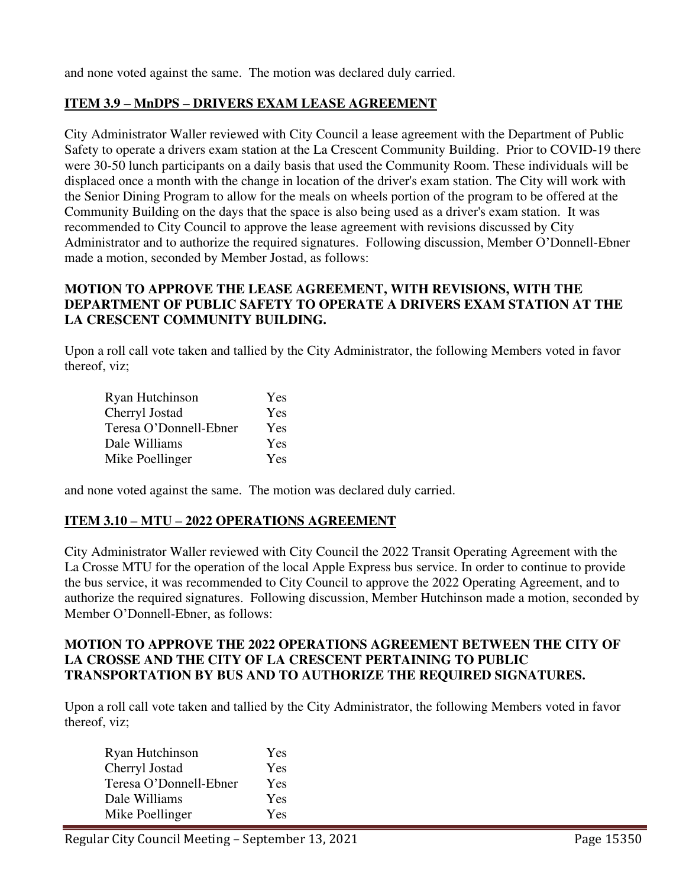and none voted against the same. The motion was declared duly carried.

## **ITEM 3.9 – MnDPS – DRIVERS EXAM LEASE AGREEMENT**

City Administrator Waller reviewed with City Council a lease agreement with the Department of Public Safety to operate a drivers exam station at the La Crescent Community Building. Prior to COVID-19 there were 30-50 lunch participants on a daily basis that used the Community Room. These individuals will be displaced once a month with the change in location of the driver's exam station. The City will work with the Senior Dining Program to allow for the meals on wheels portion of the program to be offered at the Community Building on the days that the space is also being used as a driver's exam station. It was recommended to City Council to approve the lease agreement with revisions discussed by City Administrator and to authorize the required signatures. Following discussion, Member O'Donnell-Ebner made a motion, seconded by Member Jostad, as follows:

### **MOTION TO APPROVE THE LEASE AGREEMENT, WITH REVISIONS, WITH THE DEPARTMENT OF PUBLIC SAFETY TO OPERATE A DRIVERS EXAM STATION AT THE LA CRESCENT COMMUNITY BUILDING.**

Upon a roll call vote taken and tallied by the City Administrator, the following Members voted in favor thereof, viz;

| Ryan Hutchinson        | Yes        |
|------------------------|------------|
| Cherryl Jostad         | <b>Yes</b> |
| Teresa O'Donnell-Ebner | <b>Yes</b> |
| Dale Williams          | <b>Yes</b> |
| Mike Poellinger        | <b>Yes</b> |

and none voted against the same. The motion was declared duly carried.

## **ITEM 3.10 – MTU – 2022 OPERATIONS AGREEMENT**

City Administrator Waller reviewed with City Council the 2022 Transit Operating Agreement with the La Crosse MTU for the operation of the local Apple Express bus service. In order to continue to provide the bus service, it was recommended to City Council to approve the 2022 Operating Agreement, and to authorize the required signatures. Following discussion, Member Hutchinson made a motion, seconded by Member O'Donnell-Ebner, as follows:

#### **MOTION TO APPROVE THE 2022 OPERATIONS AGREEMENT BETWEEN THE CITY OF LA CROSSE AND THE CITY OF LA CRESCENT PERTAINING TO PUBLIC TRANSPORTATION BY BUS AND TO AUTHORIZE THE REQUIRED SIGNATURES.**

| Ryan Hutchinson        | Yes        |
|------------------------|------------|
| Cherryl Jostad         | <b>Yes</b> |
| Teresa O'Donnell-Ebner | Yes        |
| Dale Williams          | <b>Yes</b> |
| Mike Poellinger        | Yes        |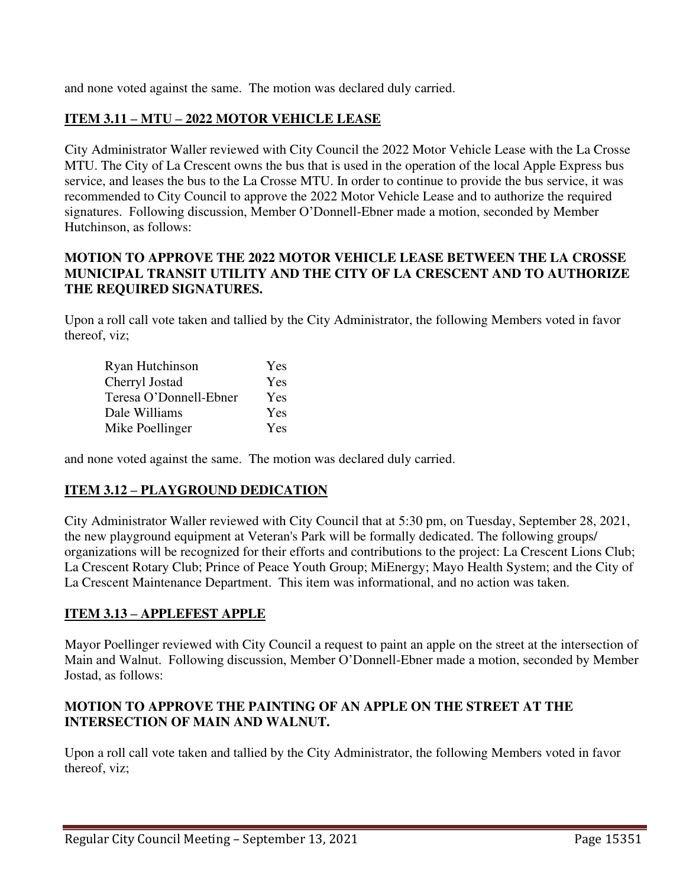and none voted against the same. The motion was declared duly carried.

## **ITEM 3.11 – MTU – 2022 MOTOR VEHICLE LEASE**

City Administrator Waller reviewed with City Council the 2022 Motor Vehicle Lease with the La Crosse MTU. The City of La Crescent owns the bus that is used in the operation of the local Apple Express bus service, and leases the bus to the La Crosse MTU. In order to continue to provide the bus service, it was recommended to City Council to approve the 2022 Motor Vehicle Lease and to authorize the required signatures. Following discussion, Member O'Donnell-Ebner made a motion, seconded by Member Hutchinson, as follows:

#### **MOTION TO APPROVE THE 2022 MOTOR VEHICLE LEASE BETWEEN THE LA CROSSE MUNICIPAL TRANSIT UTILITY AND THE CITY OF LA CRESCENT AND TO AUTHORIZE THE REQUIRED SIGNATURES.**

Upon a roll call vote taken and tallied by the City Administrator, the following Members voted in favor thereof, viz;

| Ryan Hutchinson        | Yes        |
|------------------------|------------|
| Cherryl Jostad         | Yes        |
| Teresa O'Donnell-Ebner | Yes        |
| Dale Williams          | <b>Yes</b> |
| Mike Poellinger        | Yes        |

and none voted against the same. The motion was declared duly carried.

### **ITEM 3.12 – PLAYGROUND DEDICATION**

City Administrator Waller reviewed with City Council that at 5:30 pm, on Tuesday, September 28, 2021, the new playground equipment at Veteran's Park will be formally dedicated. The following groups/ organizations will be recognized for their efforts and contributions to the project: La Crescent Lions Club; La Crescent Rotary Club; Prince of Peace Youth Group; MiEnergy; Mayo Health System; and the City of La Crescent Maintenance Department. This item was informational, and no action was taken.

### **ITEM 3.13 – APPLEFEST APPLE**

Mayor Poellinger reviewed with City Council a request to paint an apple on the street at the intersection of Main and Walnut. Following discussion, Member O'Donnell-Ebner made a motion, seconded by Member Jostad, as follows:

### **MOTION TO APPROVE THE PAINTING OF AN APPLE ON THE STREET AT THE INTERSECTION OF MAIN AND WALNUT.**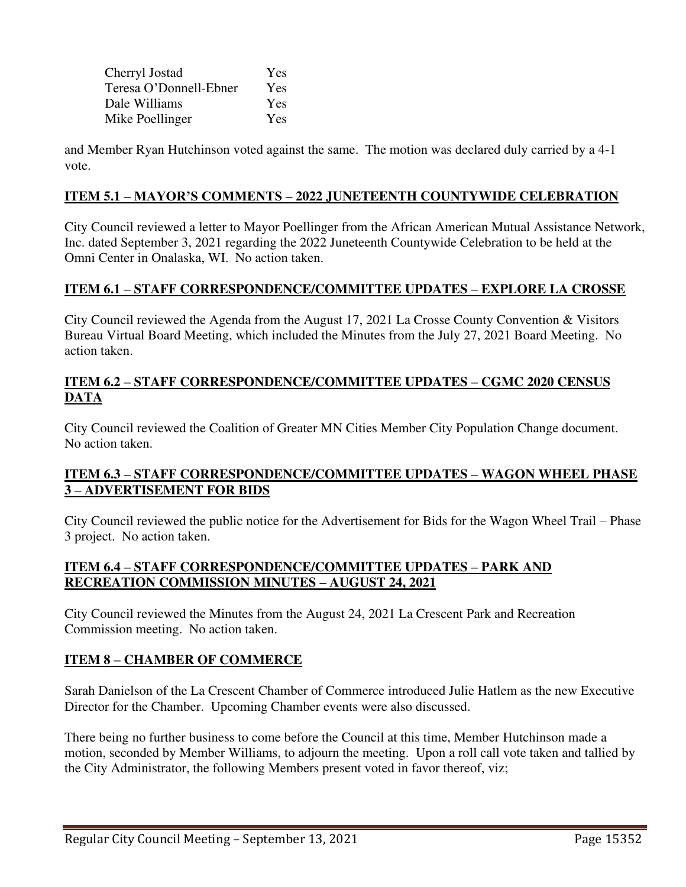| Cherryl Jostad         | Yes        |
|------------------------|------------|
| Teresa O'Donnell-Ebner | <b>Yes</b> |
| Dale Williams          | Yes        |
| Mike Poellinger        | <b>Yes</b> |

and Member Ryan Hutchinson voted against the same. The motion was declared duly carried by a 4-1 vote.

### **ITEM 5.1 – MAYOR'S COMMENTS – 2022 JUNETEENTH COUNTYWIDE CELEBRATION**

City Council reviewed a letter to Mayor Poellinger from the African American Mutual Assistance Network, Inc. dated September 3, 2021 regarding the 2022 Juneteenth Countywide Celebration to be held at the Omni Center in Onalaska, WI. No action taken.

### **ITEM 6.1 – STAFF CORRESPONDENCE/COMMITTEE UPDATES – EXPLORE LA CROSSE**

City Council reviewed the Agenda from the August 17, 2021 La Crosse County Convention & Visitors Bureau Virtual Board Meeting, which included the Minutes from the July 27, 2021 Board Meeting. No action taken.

### **ITEM 6.2 – STAFF CORRESPONDENCE/COMMITTEE UPDATES – CGMC 2020 CENSUS DATA**

City Council reviewed the Coalition of Greater MN Cities Member City Population Change document. No action taken.

## **ITEM 6.3 – STAFF CORRESPONDENCE/COMMITTEE UPDATES – WAGON WHEEL PHASE 3 – ADVERTISEMENT FOR BIDS**

City Council reviewed the public notice for the Advertisement for Bids for the Wagon Wheel Trail – Phase 3 project. No action taken.

### **ITEM 6.4 – STAFF CORRESPONDENCE/COMMITTEE UPDATES – PARK AND RECREATION COMMISSION MINUTES – AUGUST 24, 2021**

City Council reviewed the Minutes from the August 24, 2021 La Crescent Park and Recreation Commission meeting. No action taken.

### **ITEM 8 – CHAMBER OF COMMERCE**

Sarah Danielson of the La Crescent Chamber of Commerce introduced Julie Hatlem as the new Executive Director for the Chamber. Upcoming Chamber events were also discussed.

There being no further business to come before the Council at this time, Member Hutchinson made a motion, seconded by Member Williams, to adjourn the meeting. Upon a roll call vote taken and tallied by the City Administrator, the following Members present voted in favor thereof, viz;